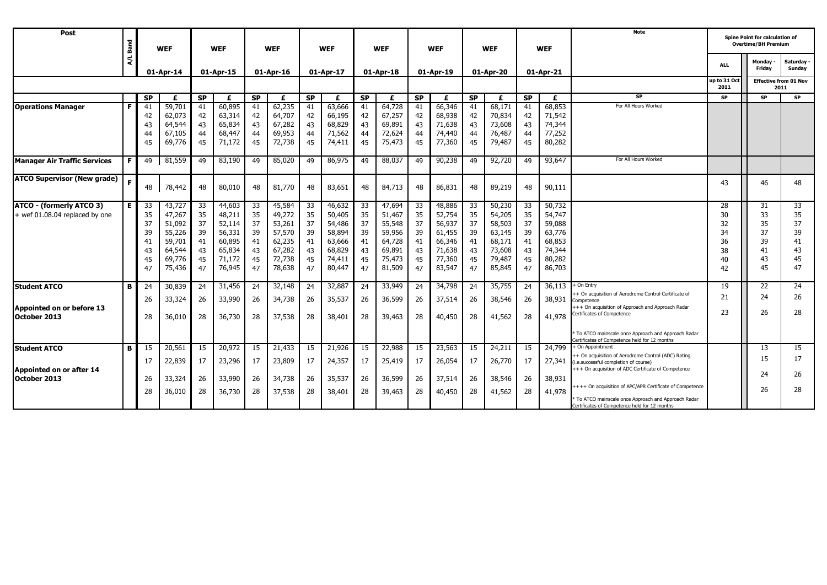| Post                                                              | Band          | <b>WEF</b><br>01-Apr-14                      |                                                                              |                                              | <b>WEF</b>                                                                   |                                               | <b>WEF</b>                                                                   |                                               | <b>WEF</b>                                                                   |                                              | <b>WEF</b>                                                                   |                                              | <b>WEF</b>                                                                   |                                              | <b>WEF</b>                                                                   |                                              | <b>WEF</b>                                                                   | <b>Note</b>                                                                                                                                           |                                                              | <b>Spine Point for calculation of</b><br><b>Overtime/BH Premium</b> |                                              |
|-------------------------------------------------------------------|---------------|----------------------------------------------|------------------------------------------------------------------------------|----------------------------------------------|------------------------------------------------------------------------------|-----------------------------------------------|------------------------------------------------------------------------------|-----------------------------------------------|------------------------------------------------------------------------------|----------------------------------------------|------------------------------------------------------------------------------|----------------------------------------------|------------------------------------------------------------------------------|----------------------------------------------|------------------------------------------------------------------------------|----------------------------------------------|------------------------------------------------------------------------------|-------------------------------------------------------------------------------------------------------------------------------------------------------|--------------------------------------------------------------|---------------------------------------------------------------------|----------------------------------------------|
|                                                                   | $\lambda / L$ |                                              |                                                                              | 01-Apr-15                                    |                                                                              | 01-Apr-16                                     |                                                                              | 01-Apr-17                                     |                                                                              | 01-Apr-18                                    |                                                                              | 01-Apr-19                                    |                                                                              | 01-Apr-20                                    |                                                                              | 01-Apr-21                                    |                                                                              |                                                                                                                                                       | <b>ALL</b>                                                   | Monday .<br>Friday                                                  | Saturday<br>Sunday                           |
|                                                                   |               |                                              |                                                                              |                                              |                                                                              |                                               |                                                                              |                                               |                                                                              |                                              |                                                                              |                                              |                                                                              |                                              |                                                                              |                                              |                                                                              |                                                                                                                                                       | up to 31 Oct<br><b>Effective from 01 Nov</b><br>2011<br>2011 |                                                                     |                                              |
|                                                                   |               | <b>SP</b><br>£                               |                                                                              | S<br>£                                       |                                                                              | S<br>£                                        |                                                                              | S<br>£                                        |                                                                              | $\overline{\mathsf{SP}}$<br>£                |                                                                              | S<br>£                                       |                                                                              | S<br>£                                       |                                                                              | S<br>£                                       |                                                                              | SP                                                                                                                                                    | SP                                                           | <b>SP</b>                                                           | <b>SP</b>                                    |
| <b>Operations Manager</b>                                         | Е             | 41<br>42<br>43<br>44<br>45                   | 59,701<br>62,073<br>64,544<br>67,105<br>69,776                               | 41<br>42<br>43<br>44<br>45                   | 60,895<br>63,314<br>65,834<br>68,447<br>71,172                               | 41<br>42<br>43<br>44<br>45                    | 62,235<br>64,707<br>67,282<br>69,953<br>72,738                               | 41<br>42<br>43<br>44<br>45                    | 63,666<br>66,195<br>68,829<br>71,562<br>74,411                               | 41<br>42<br>43<br>44<br>45                   | 64,728<br>67,257<br>69,891<br>72,624<br>75,473                               | 41<br>42<br>43<br>44<br>45                   | 66,346<br>68,938<br>71,638<br>74,440<br>77,360                               | 41<br>42<br>43<br>44<br>45                   | 68,171<br>70,834<br>73,608<br>76,487<br>79,487                               | 41<br>42<br>43<br>44<br>45                   | 68,853<br>71,542<br>74,344<br>77,252<br>80,282                               | For All Hours Worked                                                                                                                                  |                                                              |                                                                     |                                              |
| <b>Manager Air Traffic Services</b>                               |               | 49                                           | 81,559                                                                       | 49                                           | 83,190                                                                       | 49                                            | 85,020                                                                       | 49                                            | 86,975                                                                       | 49                                           | 88,037                                                                       | 49                                           | 90,238                                                                       | 49                                           | 92,720                                                                       | 49                                           | 93,647                                                                       | For All Hours Worked                                                                                                                                  |                                                              |                                                                     |                                              |
| <b>ATCO Supervisor (New grade)</b>                                | F             | 48                                           | 78,442                                                                       | 48                                           | 80,010                                                                       | 48                                            | 81,770                                                                       | 48                                            | 83,651                                                                       | 48                                           | 84,713                                                                       | 48                                           | 86,831                                                                       | 48                                           | 89,219                                                                       | 48                                           | 90,111                                                                       |                                                                                                                                                       | 43                                                           | 46                                                                  | 48                                           |
| <b>ATCO - (formerly ATCO 3)</b><br>+ wef 01.08.04 replaced by one | Е.            | 33<br>35<br>37<br>39<br>41<br>43<br>45<br>47 | 43,727<br>47,267<br>51,092<br>55,226<br>59,701<br>64,544<br>69,776<br>75,436 | 33<br>35<br>37<br>39<br>41<br>43<br>45<br>47 | 44,603<br>48,211<br>52,114<br>56,331<br>60,895<br>65,834<br>71,172<br>76,945 | 33<br>-35<br>37<br>39<br>41<br>43<br>45<br>47 | 45,584<br>49,272<br>53,261<br>57,570<br>62,235<br>67,282<br>72,738<br>78,638 | -33<br>35<br>37<br>39<br>41<br>43<br>45<br>47 | 46,632<br>50,405<br>54,486<br>58,894<br>63,666<br>68,829<br>74,411<br>80,447 | 33<br>35<br>37<br>39<br>41<br>43<br>45<br>47 | 47,694<br>51,467<br>55,548<br>59,956<br>64,728<br>69,891<br>75,473<br>81,509 | 33<br>35<br>37<br>39<br>41<br>43<br>45<br>47 | 48,886<br>52,754<br>56,937<br>61,455<br>66,346<br>71,638<br>77,360<br>83,547 | 33<br>35<br>37<br>39<br>41<br>43<br>45<br>47 | 50,230<br>54,205<br>58,503<br>63,145<br>68,171<br>73,608<br>79,487<br>85,845 | 33<br>35<br>37<br>39<br>41<br>43<br>45<br>47 | 50,732<br>54,747<br>59,088<br>63,776<br>68,853<br>74,344<br>80,282<br>86,703 |                                                                                                                                                       | 28<br>30<br>32<br>34<br>36<br>38<br>40<br>42                 | 31<br>33<br>35<br>37<br>39<br>41<br>43<br>45                        | 33<br>35<br>37<br>39<br>41<br>43<br>45<br>47 |
| <b>Student ATCO</b>                                               | в             | 24                                           | 30,839                                                                       | 24                                           | 31,456                                                                       | 24                                            | 32,148                                                                       | 24                                            | 32,887                                                                       | 24                                           | 33,949                                                                       | 24                                           | 34,798                                                                       | 24                                           | 35,755                                                                       | 24                                           | 36,113                                                                       | On Entry                                                                                                                                              | 19                                                           | 22                                                                  | 24                                           |
| Appointed on or before 13<br>October 2013                         |               | 26<br>28                                     | 33,324<br>36,010                                                             | 26<br>28                                     | 33,990<br>36,730                                                             | 26<br>28                                      | 34,738<br>37,538                                                             | -26<br>28                                     | 35,537<br>38,401                                                             | 26<br>28                                     | 36,599<br>39,463                                                             | 26<br>28                                     | 37,514<br>40,450                                                             | 26<br>28                                     | 38,546<br>41,562                                                             | 26<br>28                                     | 38,931<br>41,978                                                             | + On acquisition of Aerodrome Control Certificate of<br>Competence<br>+++ On acquisition of Approach and Approach Radar<br>Certificates of Competence | 21<br>23                                                     | 24<br>26                                                            | 26<br>28                                     |
|                                                                   |               |                                              |                                                                              |                                              |                                                                              |                                               |                                                                              |                                               |                                                                              |                                              |                                                                              |                                              |                                                                              |                                              |                                                                              |                                              |                                                                              | To ATCO mainscale once Approach and Approach Radar<br>ertificates of Competence held for 12 months                                                    |                                                              |                                                                     |                                              |
| <b>Student ATCO</b>                                               | в             | 15                                           | 20,561                                                                       | 15                                           | 20,972                                                                       | 15                                            | 21,433                                                                       | 15                                            | 21,926                                                                       | 15                                           | 22,988                                                                       | 15                                           | 23,563                                                                       | 15                                           | 24,211                                                                       | 15                                           | 24,799                                                                       | On Appointment                                                                                                                                        |                                                              | 13                                                                  | 15                                           |
| Appointed on or after 14                                          |               | 17                                           | 22,839                                                                       | 17                                           | 23,296                                                                       | 17                                            | 23,809                                                                       | 17                                            | 24,357                                                                       | 17                                           | 25,419                                                                       | 17                                           | 26,054                                                                       | 17                                           | 26,770                                                                       | 17                                           | 27,341                                                                       | + On acquisition of Aerodrome Control (ADC) Rating<br>i.e.successful completion of course)<br>+++ On acquisition of ADC Certificate of Competence     |                                                              | 15                                                                  | 17                                           |
| October 2013                                                      |               | 26                                           | 33,324                                                                       | 26                                           | 33,990                                                                       | 26                                            | 34,738                                                                       | 26                                            | 35,537                                                                       | 26                                           | 36,599                                                                       | 26                                           | 37,514                                                                       | 26                                           | 38,546                                                                       | 26                                           | 38,931                                                                       | +++ On acquisition of APC/APR Certificate of Competence                                                                                               |                                                              | 24                                                                  | 26                                           |
|                                                                   |               | 28                                           | 36,010                                                                       | 28                                           | 36,730                                                                       | 28                                            | 37,538                                                                       | 28                                            | 38,401                                                                       | -28                                          | 39,463                                                                       | 28                                           | 40,450                                                                       | 28                                           | 41,562                                                                       | 28                                           | 41,978                                                                       | To ATCO mainscale once Approach and Approach Radar<br>Certificates of Competence held for 12 months                                                   |                                                              | 26                                                                  | 28                                           |